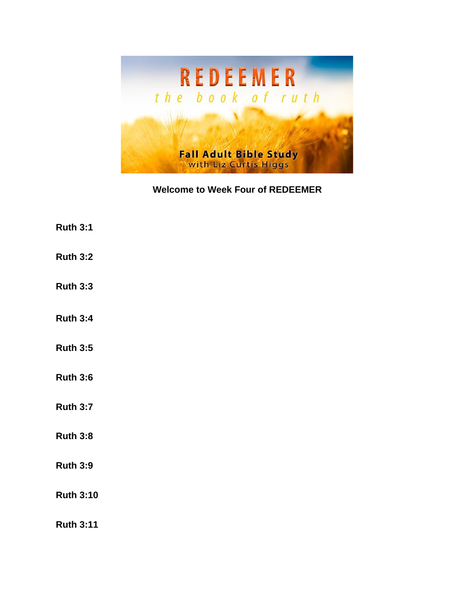

## **Welcome to Week Four of REDEEMER**

- **Ruth 3:1**
- **Ruth 3:2**
- **Ruth 3:3**
- **Ruth 3:4**
- **Ruth 3:5**
- **Ruth 3:6**
- **Ruth 3:7**
- **Ruth 3:8**
- **Ruth 3:9**
- **Ruth 3:10**

**Ruth 3:11**